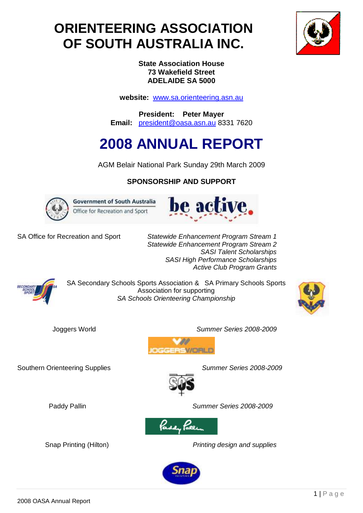## **ORIENTEERING ASSOCIATION OF SOUTH AUSTRALIA INC.**



**State Association House 73 Wakefield Street ADELAIDE SA 5000**

**website:** [www.sa.orienteering.asn.au](http://www.sa.orienteering.asn.au/)

**President: Peter Mayer Email:** [president@oasa.asn.au](mailto:president@oasa.asn.au) 8331 7620

# **2008 ANNUAL REPORT**

AGM Belair National Park Sunday 29th March 2009

## **SPONSORSHIP AND SUPPORT**



**Government of South Australia** Office for Recreation and Sport



SA Office for Recreation and Sport *Statewide Enhancement Program Stream 1 Statewide Enhancement Program Stream 2 SASI Talent Scholarships SASI High Performance Scholarships Active Club Program Grants*



SA Secondary Schools Sports Association & SA Primary Schools Sports Association for supporting *SA Schools Orienteering Championship*



Joggers World *Summer Series 2008-2009*



Southern Orienteering Supplies *Summer Series 2008-2009*





Paddy Pallin *Summer Series 2008-2009*

Snap Printing (Hilton) *Printing design and supplies*

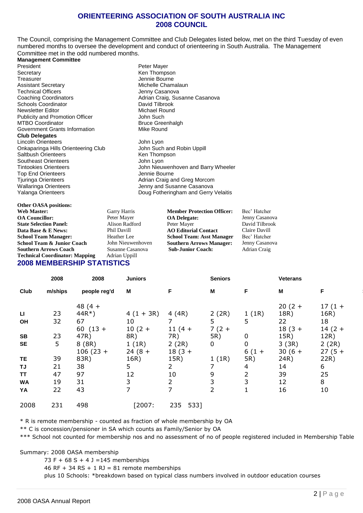#### **ORIENTEERING ASSOCIATION OF SOUTH AUSTRALIA INC 2008 COUNCIL**

The Council, comprising the Management Committee and Club Delegates listed below, met on the third Tuesday of even numbered months to oversee the development and conduct of orienteering in South Australia. The Management Committee met in the odd numbered months.

**Management Committee**

President Peter Mayer<br>
Secretary Contract Peter Mayer<br>
Ren Thomps Secretary Ken Thompson Assistant Secretary **Michelle Chamalaun**<br> **Assistant Secretary** Chamalaun<br> **Assistant Chamalaun**<br> **Assistant Chamalaun**<br> **Assistant Chamalaun**<br> **Assistant Chamalaun**<br> **Assistant Chamalaun** Technical Officers<br>
Coaching Coordinators<br>
Coaching Coordinators<br>
Coaching Coordinators<br>
Contract Development Adrian Craig. Sus Schools Coordinator **David Tilbrook**<br>
Newsletter Editor **David Tilbrook**<br>
Michael Round Newsletter Editor Michael Rounder<br>
Publicity and Promotion Officer<br>
Michael Rounder Publicity and Promotion Officer John Such MTBO Coordinator<br>
Government Grants Information<br>
Government Grants Information<br>
Covernment Grants Information Government Grants Information **Club Delegates** Lincoln Orienteers John Lyon Onkaparinga Hills Orienteering Club John Such and Robin Uppill<br>
Saltbush Orienteers<br>
Ken Thompson Saltbush Orienteers Southeast Orienteers **Southeast Orienteers** John Lyon Top End Orienteers<br>Tjuringa Orienteers Wallaringa Orienteers **Verwallaringa** Orienteers Jenny and Susanne Casanova

Jennie Bourne Adrian Craig, Susanne Casanova<br>David Tilbrook

Tintookies Orienteers John Nieuwenhoven and Barry Wheeler Adrian Craig and Greg Morcom Yalanga Orienteers **Doug Fotheringham and Gerry Velaitis** 

| Garry Harris                      |
|-----------------------------------|
| Peter Mayer                       |
| <b>Alison Radfor</b>              |
| Phil Davill                       |
| Heather Lee                       |
| John Nieuwen                      |
| Susanne Casar                     |
| Adrian Uppill                     |
| <b>2008 MEMBERSHIP STATISTICS</b> |
|                                   |

**Member Protection Officer:** Bec' Hatcher<br>**OA Delegate:** Benny Casano **OA Delegate:** Jenny Casanova<br> **Peter Mayer David Tilbrook AO Editorial Contact** Claire Davill<br> **School Team: Asst Manager** Bec' Hatcher **School Team: Asst Manager** Bec' Hatcher<br>**Southern Arrows Manager:** Jenny Casanova **Southern Arrows Manager:** Southern Arrows Manager: **Sub-Junior Coach:** Adrian Craig

**David Tilbrook**<br>Claire Davill

|           | 2008    | 2008         | <b>Juniors</b> |                | <b>Seniors</b> |                | <b>Veterans</b> |          |
|-----------|---------|--------------|----------------|----------------|----------------|----------------|-----------------|----------|
| Club      | m/ships | people reg'd | M              | F              | M              | F.             | M               | F        |
|           |         | 48 $(4 +$    |                |                |                |                | $20(2 +$        | $17(1 +$ |
| LI        | 23      | $44R*$       | $4(1 + 3R)$    | 4(4R)          | 2(2R)          | 1(1R)          | 18R)            | 16R)     |
| OH        | 32      | 67           | 10             |                | 5              | 5              | 22              | 18       |
|           |         | 60 $(13 +$   | $10(2 +$       | $11(4 +$       | $7(2 +$        |                | $18(3 +$        | $14(2 +$ |
| SB        | 23      | 47R)         | 8R)            | 7R)            | 5R)            | 0              | 15R)            | 12R)     |
| <b>SE</b> | 5       | 8(8R)        | 1(1R)          | 2(2R)          | 0              | 0              | 3(3R)           | 2(2R)    |
|           |         | $106(23 +$   | $24(8 +$       | $18(3 +$       |                | $6(1 +$        | $30(6 +$        | $27(5 +$ |
| TE        | 39      | 83R)         | 16R)           | 15R)           | 1(1R)          | 5R)            | 24R)            | 22R)     |
| TJ        | 21      | 38           | 5              | $\overline{2}$ | 7              | 4              | 14              | 6        |
| <b>TT</b> | 47      | 97           | 12             | 10             | 9              | $\overline{2}$ | 39              | 25       |
| <b>WA</b> | 19      | 31           | 3              | $\overline{2}$ | 3              | 3              | 12              | 8        |
| YA        | 22      | 43           | $\overline{7}$ | $\overline{ }$ | 2              |                | 16              | 10       |
| 2008      | 231     | 498          | [2007:         | 5331<br>235    |                |                |                 |          |

\* R is remote membership - counted as fraction of whole membership by OA

\*\* C is concession/pensioner in SA which counts as Family/Senior by OA

\*\*\* School not counted for membership nos and no assessment of no of people registered included in Membership Table

Summary: 2008 OASA membership

73 F +  $68$  S + 4 J = 145 memberships

46 RF + 34 RS + 1 RJ = 81 remote memberships

plus 10 Schools: \*breakdown based on typical class numbers involved in outdoor education courses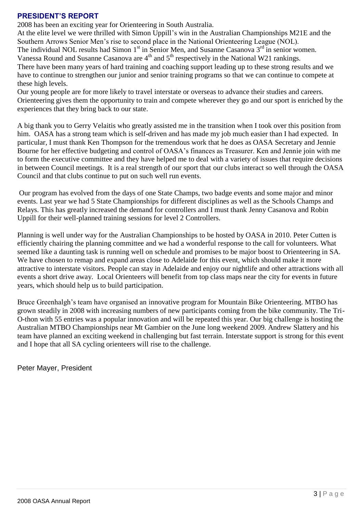## **PRESIDENT'S REPORT**

2008 has been an exciting year for Orienteering in South Australia.

At the elite level we were thrilled with Simon Uppill"s win in the Australian Championships M21E and the Southern Arrows Senior Men's rise to second place in the National Orienteering League (NOL).

The individual NOL results had Simon  $1<sup>st</sup>$  in Senior Men, and Susanne Casanova  $3<sup>rd</sup>$  in senior women.

Vanessa Round and Susanne Casanova are  $4<sup>th</sup>$  and  $5<sup>th</sup>$  respectively in the National W21 rankings.

There have been many years of hard training and coaching support leading up to these strong results and we have to continue to strengthen our junior and senior training programs so that we can continue to compete at these high levels.

Our young people are for more likely to travel interstate or overseas to advance their studies and careers. Orienteering gives them the opportunity to train and compete wherever they go and our sport is enriched by the experiences that they bring back to our state.

A big thank you to Gerry Velaitis who greatly assisted me in the transition when I took over this position from him. OASA has a strong team which is self-driven and has made my job much easier than I had expected. In particular, I must thank Ken Thompson for the tremendous work that he does as OASA Secretary and Jennie Bourne for her effective budgeting and control of OASA"s finances as Treasurer. Ken and Jennie join with me to form the executive committee and they have helped me to deal with a variety of issues that require decisions in between Council meetings. It is a real strength of our sport that our clubs interact so well through the OASA Council and that clubs continue to put on such well run events.

Our program has evolved from the days of one State Champs, two badge events and some major and minor events. Last year we had 5 State Championships for different disciplines as well as the Schools Champs and Relays. This has greatly increased the demand for controllers and I must thank Jenny Casanova and Robin Uppill for their well-planned training sessions for level 2 Controllers.

Planning is well under way for the Australian Championships to be hosted by OASA in 2010. Peter Cutten is efficiently chairing the planning committee and we had a wonderful response to the call for volunteers. What seemed like a daunting task is running well on schedule and promises to be major boost to Orienteering in SA. We have chosen to remap and expand areas close to Adelaide for this event, which should make it more attractive to interstate visitors. People can stay in Adelaide and enjoy our nightlife and other attractions with all events a short drive away. Local Orienteers will benefit from top class maps near the city for events in future years, which should help us to build participation.

Bruce Greenhalgh's team have organised an innovative program for Mountain Bike Orienteering. MTBO has grown steadily in 2008 with increasing numbers of new participants coming from the bike community. The Tri-O-thon with 55 entries was a popular innovation and will be repeated this year. Our big challenge is hosting the Australian MTBO Championships near Mt Gambier on the June long weekend 2009. Andrew Slattery and his team have planned an exciting weekend in challenging but fast terrain. Interstate support is strong for this event and I hope that all SA cycling orienteers will rise to the challenge.

Peter Mayer, President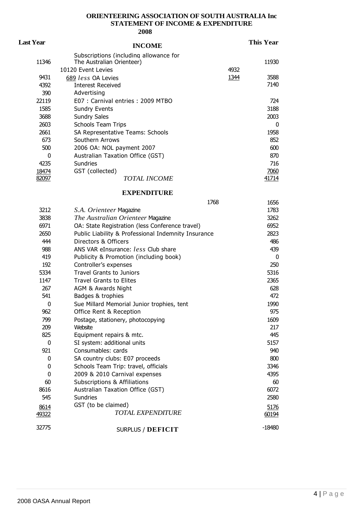## **ORIENTEERING ASSOCIATION OF SOUTH AUSTRALIA Inc STATEMENT OF INCOME & EXPENDITURE**

| <b>Last Year</b> | <b>INCOME</b>                                                               |      | <b>This Year</b> |
|------------------|-----------------------------------------------------------------------------|------|------------------|
|                  | Subscriptions (including allowance for                                      |      |                  |
| 11346            | The Australian Orienteer)                                                   |      | 11930            |
|                  | 10120 Event Levies                                                          | 4932 |                  |
| 9431             | 689 less OA Levies                                                          | 1344 | 3588             |
| 4392             | <b>Interest Received</b>                                                    |      | 7140             |
| 390              | Advertising                                                                 |      |                  |
| 22119            | E07 : Carnival entries : 2009 MTBO                                          |      | 724              |
| 1585             | <b>Sundry Events</b>                                                        |      | 3188             |
| 3688             | <b>Sundry Sales</b>                                                         |      | 2003             |
| 2603             | <b>Schools Team Trips</b>                                                   |      | 0                |
| 2661             | SA Representative Teams: Schools                                            |      | 1958             |
| 673              | Southern Arrows                                                             |      | 852              |
| 500              | 2006 OA: NOL payment 2007                                                   |      | 600              |
| 0                | Australian Taxation Office (GST)                                            |      | 870              |
| 4235             | Sundries                                                                    |      | 716              |
| 18474            | GST (collected)                                                             |      | 7060             |
| 82097            | <b>TOTAL INCOME</b>                                                         |      | 41714            |
|                  |                                                                             |      |                  |
|                  | <b>EXPENDITURE</b>                                                          |      |                  |
|                  | 1768                                                                        |      | 1656             |
| 3212             | S.A. Orienteer Magazine                                                     |      | 1783             |
| 3838             | The Australian Orienteer Magazine                                           |      | 3262             |
| 6971             | OA: State Registration (less Conference travel)                             |      | 6952             |
| 2650             |                                                                             |      | 2823             |
| 444              | Public Liability & Professional Indemnity Insurance<br>Directors & Officers |      |                  |
|                  |                                                                             |      | 486              |
| 988              | ANS VAR eInsurance: less Club share                                         |      | 439              |
| 419              | Publicity & Promotion (including book)                                      |      | 0                |
| 192              | Controller's expenses                                                       |      | 250              |
| 5334             | <b>Travel Grants to Juniors</b>                                             |      | 5316             |
| 1147             | <b>Travel Grants to Elites</b>                                              |      | 2365             |
| 267              | AGM & Awards Night                                                          |      | 628              |
| 541              | Badges & trophies                                                           |      | 472              |
| 0                | Sue Millard Memorial Junior trophies, tent                                  |      | 1990             |
| 962              | Office Rent & Reception                                                     |      | 975              |
| 799              | Postage, stationery, photocopying                                           |      | 1609             |
| 209              | Website                                                                     |      | 217              |
| 825              | Equipment repairs & mtc.                                                    |      | 445              |
| 0                | SI system: additional units                                                 |      | 5157             |
| 921              | Consumables: cards                                                          |      | 940              |
| 0                | SA country clubs: E07 proceeds                                              |      | 800              |
| 0                | Schools Team Trip: travel, officials                                        |      | 3346             |
| 0                | 2009 & 2010 Carnival expenses                                               |      | 4395             |
| 60               | <b>Subscriptions &amp; Affiliations</b>                                     |      | 60               |
| 8616             | Australian Taxation Office (GST)                                            |      | 6072             |
| 545              | <b>Sundries</b>                                                             |      | 2580             |
| 8614             | GST (to be claimed)                                                         |      | 5176             |
| 49322            | <b>TOTAL EXPENDITURE</b>                                                    |      | 60194            |
|                  |                                                                             |      |                  |
| 32775            | SURPLUS / DEFICIT                                                           |      | $-18480$         |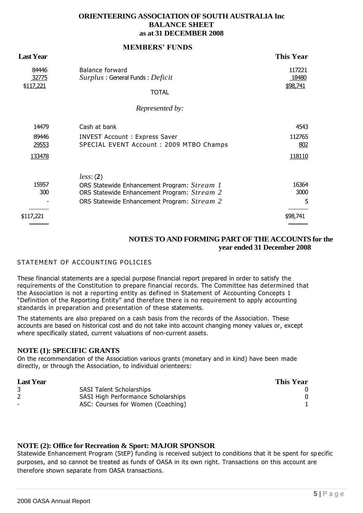#### **ORIENTEERING ASSOCIATION OF SOUTH AUSTRALIA Inc BALANCE SHEET as at 31 DECEMBER 2008**

| Last Year                         | NERIDERS I CIDS                                                                                                                                        | <b>This Year</b>                |
|-----------------------------------|--------------------------------------------------------------------------------------------------------------------------------------------------------|---------------------------------|
| 84446<br>32775<br>\$117,221       | <b>Balance forward</b><br>Surplus: General Funds: Deficit<br><b>TOTAL</b>                                                                              | 117221<br>18480<br>\$98,741     |
|                                   | Represented by:                                                                                                                                        |                                 |
| 14479<br>89446<br>29553<br>133478 | Cash at bank<br><b>INVEST Account: Express Saver</b><br>SPECIAL EVENT Account: 2009 MTBO Champs                                                        | 4543<br>112765<br>802<br>118110 |
| 15957<br>300                      | less: (2)<br>ORS Statewide Enhancement Program: Stream 1<br>ORS Statewide Enhancement Program: Stream 2<br>ORS Statewide Enhancement Program: Stream 2 | 16364<br>3000<br>5              |
| \$117,221                         |                                                                                                                                                        | \$98,741                        |

**MEMBERS' FUNDS**

#### **NOTES TO AND FORMING PART OF THE ACCOUNTS for the year ended 31 December 2008**

### STATEMENT OF ACCOUNTING POLICIES

These financial statements are a special purpose financial report prepared in order to satisfy the requirements of the Constitution to prepare financial records. The Committee has determined that the Association is not a reporting entity as defined in Statement of Accounting Concepts 1 "Definition of the Reporting Entity" and therefore there is no requirement to apply accounting standards in preparation and presentation of these statements.

The statements are also prepared on a cash basis from the records of the Association. These accounts are based on historical cost and do not take into account changing money values or, except where specifically stated, current valuations of non-current assets.

#### **NOTE (1): SPECIFIC GRANTS**

On the recommendation of the Association various grants (monetary and in kind) have been made directly, or through the Association, to individual orienteers:

| <b>This Year</b> |
|------------------|
|                  |
|                  |
|                  |
|                  |

### **NOTE (2): Office for Recreation & Sport: MAJOR SPONSOR**

Statewide Enhancement Program (StEP) funding is received subject to conditions that it be spent for sp ecific purposes, and so cannot be treated as funds of OASA in its own right. Transactions on this account are therefore shown separate from OASA transactions.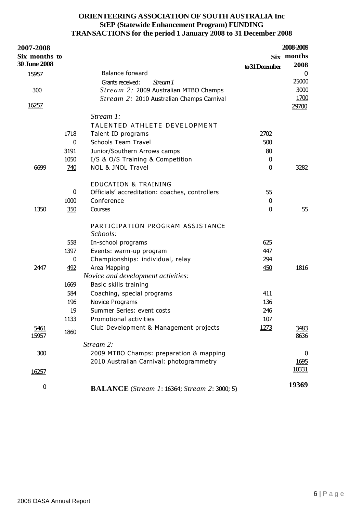## **ORIENTEERING ASSOCIATION OF SOUTH AUSTRALIA Inc StEP (Statewide Enhancement Program) FUNDING TRANSACTIONS for the period 1 January 2008 to 31 December 2008**

| <b>2007-2008</b>    |      |                                                     |                | 2008-2009    |
|---------------------|------|-----------------------------------------------------|----------------|--------------|
| Six months to       |      |                                                     |                | Six months   |
| <b>30 June 2008</b> |      |                                                     | to 31 December | 2008         |
| 15957               |      | <b>Balance forward</b>                              |                | 0            |
|                     |      | Grants received:<br>Stream 1                        |                | 25000        |
| 300                 |      | Stream 2: 2009 Australian MTBO Champs               |                | 3000         |
|                     |      | Stream 2: 2010 Australian Champs Carnival           |                | 1700         |
| 16257               |      |                                                     |                | 29700        |
|                     |      | Stream 1:                                           |                |              |
|                     |      | TALENTED ATHLETE DEVELOPMENT                        |                |              |
|                     | 1718 | Talent ID programs                                  | 2702           |              |
|                     | 0    | <b>Schools Team Travel</b>                          | 500            |              |
|                     | 3191 | Junior/Southern Arrows camps                        | 80             |              |
|                     | 1050 | I/S & O/S Training & Competition                    | 0              |              |
| 6699                | 740  | <b>NOL &amp; JNOL Travel</b>                        | 0              | 3282         |
|                     |      |                                                     |                |              |
|                     |      | <b>EDUCATION &amp; TRAINING</b>                     |                |              |
|                     | 0    | Officials' accreditation: coaches, controllers      | 55             |              |
|                     | 1000 | Conference                                          | 0              |              |
| 1350                | 350  | Courses                                             | $\mathbf{0}$   | 55           |
|                     |      |                                                     |                |              |
|                     |      | PARTICIPATION PROGRAM ASSISTANCE<br>Schools:        |                |              |
|                     | 558  | In-school programs                                  | 625            |              |
|                     | 1397 | Events: warm-up program                             | 447            |              |
|                     | 0    | Championships: individual, relay                    | 294            |              |
| 2447                | 492  | Area Mapping                                        | 450            | 1816         |
|                     |      | Novice and development activities:                  |                |              |
|                     | 1669 | Basic skills training                               |                |              |
|                     | 584  | Coaching, special programs                          | 411            |              |
|                     | 196  | Novice Programs                                     | 136            |              |
|                     | 19   | Summer Series: event costs                          | 246            |              |
|                     | 1133 | Promotional activities                              | 107            |              |
| 5461<br>15957       | 1860 | Club Development & Management projects              | 1273           | 3483<br>8636 |
|                     |      | Stream 2:                                           |                |              |
| 300                 |      | 2009 MTBO Champs: preparation & mapping             |                | 0            |
|                     |      | 2010 Australian Carnival: photogrammetry            |                | 1695         |
| 16257               |      |                                                     |                | 10331        |
|                     |      |                                                     |                |              |
| 0                   |      | <b>BALANCE</b> (Stream 1: 16364; Stream 2: 3000; 5) |                | 19369        |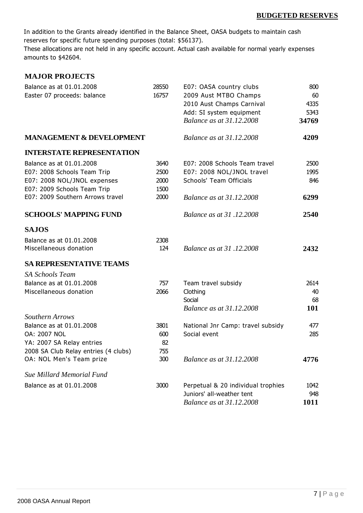In addition to the Grants already identified in the Balance Sheet, OASA budgets to maintain cash reserves for specific future spending purposes (total: \$56137).

These allocations are not held in any specific account. Actual cash available for normal yearly expenses amounts to \$42604.

| <b>MAJOR PROJECTS</b>                |       |                                    |       |
|--------------------------------------|-------|------------------------------------|-------|
| Balance as at 01.01.2008             | 28550 | E07: OASA country clubs            | 800   |
| Easter 07 proceeds: balance          | 16757 | 2009 Aust MTBO Champs              | 60    |
|                                      |       | 2010 Aust Champs Carnival          | 4335  |
|                                      |       | Add: SI system equipment           | 5343  |
|                                      |       | <b>Balance as at 31.12.2008</b>    | 34769 |
| <b>MANAGEMENT &amp; DEVELOPMENT</b>  |       | <b>Balance as at 31.12.2008</b>    | 4209  |
| <b>INTERSTATE REPRESENTATION</b>     |       |                                    |       |
| Balance as at 01.01.2008             | 3640  | E07: 2008 Schools Team travel      | 2500  |
| E07: 2008 Schools Team Trip          | 2500  | E07: 2008 NOL/JNOL travel          | 1995  |
| E07: 2008 NOL/JNOL expenses          | 2000  | Schools' Team Officials            | 846   |
| E07: 2009 Schools Team Trip          | 1500  |                                    |       |
| E07: 2009 Southern Arrows travel     | 2000  | <b>Balance as at 31.12.2008</b>    | 6299  |
| <b>SCHOOLS' MAPPING FUND</b>         |       | Balance as at 31.12.2008           | 2540  |
| <b>SAJOS</b>                         |       |                                    |       |
| Balance as at 01.01.2008             | 2308  |                                    |       |
| Miscellaneous donation               | 124   | Balance as at 31,12,2008           | 2432  |
| <b>SA REPRESENTATIVE TEAMS</b>       |       |                                    |       |
| <b>SA Schools Team</b>               |       |                                    |       |
| Balance as at 01.01.2008             | 757   | Team travel subsidy                | 2614  |
| Miscellaneous donation               | 2066  | Clothing                           | 40    |
|                                      |       | Social                             | 68    |
|                                      |       | <b>Balance as at 31.12.2008</b>    | 101   |
| Southern Arrows                      |       |                                    |       |
| Balance as at 01.01.2008             | 3801  | National Jnr Camp: travel subsidy  | 477   |
| <b>OA: 2007 NOL</b>                  | 600   | Social event                       | 285   |
| YA: 2007 SA Relay entries            | 82    |                                    |       |
| 2008 SA Club Relay entries (4 clubs) | 755   |                                    |       |
| OA: NOL Men's Team prize             | 300   | <b>Balance as at 31.12.2008</b>    | 4776  |
| <b>Sue Millard Memorial Fund</b>     |       |                                    |       |
| Balance as at 01.01.2008             | 3000  | Perpetual & 20 individual trophies | 1042  |
|                                      |       | Juniors' all-weather tent          | 948   |
|                                      |       | Balance as at 31.12.2008           | 1011  |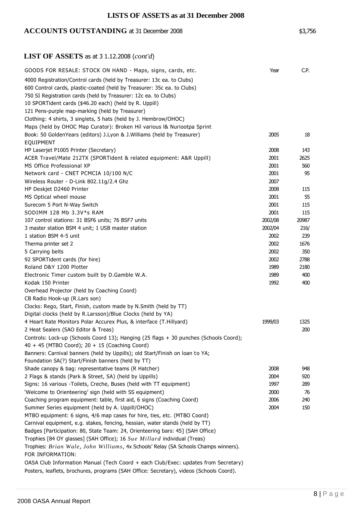## **LISTS OF ASSETS as at 31 December 2008**

## ACCOUNTS OUTSTANDING at 31 December 2008 \$3,756

## **LIST OF ASSETS** as at 3 1.12.2008 (*cont'd*)

| GOODS FOR RESALE: STOCK ON HAND - Maps, signs, cards, etc.                              | Year    | C.P.  |
|-----------------------------------------------------------------------------------------|---------|-------|
| 4000 Registration/Control cards (held by Treasurer: 13c ea. to Clubs)                   |         |       |
| 600 Control cards, plastic-coated (held by Treasurer: 35c ea. to Clubs)                 |         |       |
| 750 SI Registration cards (held by Treasurer: 12c ea. to Clubs)                         |         |       |
| 10 SPORTident cards (\$46.20 each) (held by R. Uppill)                                  |         |       |
| 121 Pens-purple map-marking (held by Treasurer)                                         |         |       |
| Clothing: 4 shirts, 3 singlets, 5 hats (held by J. Hembrow/OHOC)                        |         |       |
| Maps (held by OHOC Map Curator): Broken Hil various I& Nuriootpa Sprint                 |         |       |
| Book: 50 GoldenYears (editors) J.Lyon & J.Williams (held by Treasurer)                  | 2005    | 18    |
| EQUIPMENT                                                                               |         |       |
| HP Laserjet P1005 Printer (Secretary)                                                   | 2008    | 143   |
| ACER Travel/Mate 212TX (SPORTident & related equipment: A&R Uppill)                     | 2001    | 2625  |
| MS Office Professional XP                                                               | 2001    | 560   |
| Network card - CNET PCMCIA 10/100 N/C                                                   | 2001    | 95    |
| Wireless Router - D-Link 802.11g/2.4 Ghz                                                | 2007    |       |
| HP Deskjet D2460 Printer                                                                | 2008    | 115   |
| MS Optical wheel mouse                                                                  | 2001    | 55    |
| Surecom 5 Port N-Way Switch                                                             | 2001    | 115   |
| SODIMM 128 Mb 3.3V*s RAM                                                                | 2001    | 115   |
| 107 control stations: 31 BSF6 units; 76 BSF7 units                                      | 2002/08 | 20987 |
| 3 master station BSM 4 unit; 1 USB master station                                       | 2002/04 | 216/  |
| 1 station BSM 4-5 unit                                                                  | 2002    | 239   |
| Therma printer set 2                                                                    | 2002    | 1676  |
| 5 Carrying belts                                                                        | 2002    | 350   |
| 92 SPORTident cards (for hire)                                                          | 2002    | 2788  |
| Roland D&Y 1200 Plotter                                                                 | 1989    | 2180  |
| Electronic Timer custom built by D.Gamble W.A.                                          | 1989    | 400   |
| Kodak 150 Printer                                                                       | 1992    | 400   |
| Overhead Projector (held by Coaching Coord)                                             |         |       |
| CB Radio Hook-up (R.Lars son)                                                           |         |       |
| Clocks: Rego, Start, Finish, custom made by N.Smith (held by TT)                        |         |       |
| Digital clocks (held by R.Larsson)/Blue Clocks (held by YA)                             |         |       |
| 4 Heart Rate Monitors Polar Accurex Plus, & interface (T.Hillyard)                      | 1999/03 | 1325  |
| 2 Heat Sealers (SAO Editor & Treas)                                                     |         | 200   |
| Controls: Lock-up (Schools Coord 13); Hanging (25 flags + 30 punches (Schools Coord);   |         |       |
| 40 + 45 (MTBO Coord); 20 + 15 (Coaching Coord)                                          |         |       |
| Banners: Carnival banners (held by Uppills); old Start/Finish on loan to YA;            |         |       |
| Foundation SA(?) Start/Finish banners (held by TT)                                      |         |       |
| Shade canopy & bag: representative teams (R Hatcher)                                    | 2008    | 948   |
| 2 Flags & stands (Park & Street, SA) (held by Uppills)                                  | 2004    | 920   |
| Signs: 16 various -Toilets, Creche, Buses (held with TT equipment)                      | 1997    | 289   |
| 'Welcome to Orienteering' sign (held with SS equipment)                                 | 2000    | 76    |
| Coaching program equipment: table, first aid, 6 signs (Coaching Coord)                  | 2006    | 240   |
| Summer Series equipment (held by A. Uppill/OHOC)                                        | 2004    | 150   |
| MTBO equipment: 6 signs, 4/6 map cases for hire, ties, etc. (MTBO Coord)                |         |       |
| Carnival equipment, e.g. stakes, fencing, hessian, water stands (held by TT)            |         |       |
| Badges [Participation: 80, State Team: 24, Orienteering bars: 45] (SAH Office)          |         |       |
| Trophies [84 OY glasses] (SAH Office); 16 Sue Millard individual (Treas)                |         |       |
| Trophies: Brian Wale, John Williams, 4x Schools' Relay (SA Schools Champs winners).     |         |       |
| FOR INFORMATION:                                                                        |         |       |
| OASA Club Information Manual (Tech Coord + each Club/Exec: updates from Secretary)      |         |       |
| Posters, leaflets, brochures, programs (SAH Office: Secretary), videos (Schools Coord). |         |       |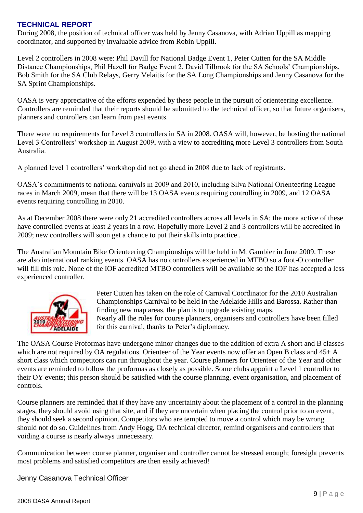## **TECHNICAL REPORT**

During 2008, the position of technical officer was held by Jenny Casanova, with Adrian Uppill as mapping coordinator, and supported by invaluable advice from Robin Uppill.

Level 2 controllers in 2008 were: Phil Davill for National Badge Event 1, Peter Cutten for the SA Middle Distance Championships, Phil Hazell for Badge Event 2, David Tilbrook for the SA Schools" Championships, Bob Smith for the SA Club Relays, Gerry Velaitis for the SA Long Championships and Jenny Casanova for the SA Sprint Championships.

OASA is very appreciative of the efforts expended by these people in the pursuit of orienteering excellence. Controllers are reminded that their reports should be submitted to the technical officer, so that future organisers, planners and controllers can learn from past events.

There were no requirements for Level 3 controllers in SA in 2008. OASA will, however, be hosting the national Level 3 Controllers' workshop in August 2009, with a view to accrediting more Level 3 controllers from South Australia.

A planned level 1 controllers" workshop did not go ahead in 2008 due to lack of registrants.

OASA"s commitments to national carnivals in 2009 and 2010, including Silva National Orienteering League races in March 2009, mean that there will be 13 OASA events requiring controlling in 2009, and 12 OASA events requiring controlling in 2010.

As at December 2008 there were only 21 accredited controllers across all levels in SA; the more active of these have controlled events at least 2 years in a row. Hopefully more Level 2 and 3 controllers will be accredited in 2009; new controllers will soon get a chance to put their skills into practice..

The Australian Mountain Bike Orienteering Championships will be held in Mt Gambier in June 2009. These are also international ranking events. OASA has no controllers experienced in MTBO so a foot-O controller will fill this role. None of the IOF accredited MTBO controllers will be available so the IOF has accepted a less experienced controller.



Peter Cutten has taken on the role of Carnival Coordinator for the 2010 Australian Championships Carnival to be held in the Adelaide Hills and Barossa. Rather than finding new map areas, the plan is to upgrade existing maps. Nearly all the roles for course planners, organisers and controllers have been filled for this carnival, thanks to Peter's diplomacy.

The OASA Course Proformas have undergone minor changes due to the addition of extra A short and B classes which are not required by OA regulations. Orienteer of the Year events now offer an Open B class and  $45+A$ short class which competitors can run throughout the year. Course planners for Orienteer of the Year and other events are reminded to follow the proformas as closely as possible. Some clubs appoint a Level 1 controller to their OY events; this person should be satisfied with the course planning, event organisation, and placement of controls.

Course planners are reminded that if they have any uncertainty about the placement of a control in the planning stages, they should avoid using that site, and if they are uncertain when placing the control prior to an event, they should seek a second opinion. Competitors who are tempted to move a control which may be wrong should not do so. Guidelines from Andy Hogg, OA technical director, remind organisers and controllers that voiding a course is nearly always unnecessary.

Communication between course planner, organiser and controller cannot be stressed enough; foresight prevents most problems and satisfied competitors are then easily achieved!

Jenny Casanova Technical Officer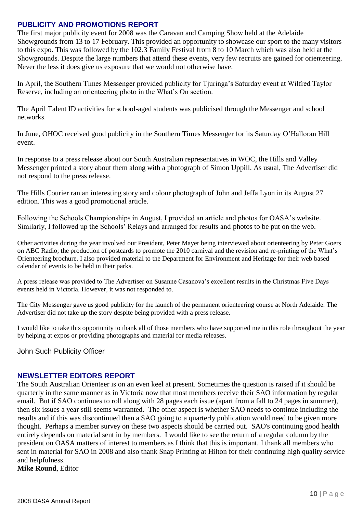## **PUBLICITY AND PROMOTIONS REPORT**

The first major publicity event for 2008 was the Caravan and Camping Show held at the Adelaide Showgrounds from 13 to 17 February. This provided an opportunity to showcase our sport to the many visitors to this expo. This was followed by the 102.3 Family Festival from 8 to 10 March which was also held at the Showgrounds. Despite the large numbers that attend these events, very few recruits are gained for orienteering. Never the less it does give us exposure that we would not otherwise have.

In April, the Southern Times Messenger provided publicity for Tjuringa"s Saturday event at Wilfred Taylor Reserve, including an orienteering photo in the What"s On section.

The April Talent ID activities for school-aged students was publicised through the Messenger and school networks.

In June, OHOC received good publicity in the Southern Times Messenger for its Saturday O"Halloran Hill event.

In response to a press release about our South Australian representatives in WOC, the Hills and Valley Messenger printed a story about them along with a photograph of Simon Uppill. As usual, The Advertiser did not respond to the press release.

The Hills Courier ran an interesting story and colour photograph of John and Jeffa Lyon in its August 27 edition. This was a good promotional article.

Following the Schools Championships in August, I provided an article and photos for OASA"s website. Similarly, I followed up the Schools" Relays and arranged for results and photos to be put on the web.

Other activities during the year involved our President, Peter Mayer being interviewed about orienteering by Peter Goers on ABC Radio; the production of postcards to promote the 2010 carnival and the revision and re-printing of the What"s Orienteering brochure. I also provided material to the Department for Environment and Heritage for their web based calendar of events to be held in their parks.

A press release was provided to The Advertiser on Susanne Casanova"s excellent results in the Christmas Five Days events held in Victoria. However, it was not responded to.

The City Messenger gave us good publicity for the launch of the permanent orienteering course at North Adelaide. The Advertiser did not take up the story despite being provided with a press release.

I would like to take this opportunity to thank all of those members who have supported me in this role throughout the year by helping at expos or providing photographs and material for media releases.

John Such Publicity Officer

### **NEWSLETTER EDITORS REPORT**

The South Australian Orienteer is on an even keel at present. Sometimes the question is raised if it should be quarterly in the same manner as in Victoria now that most members receive their SAO information by regular email. But if SAO continues to roll along with 28 pages each issue (apart from a fall to 24 pages in summer), then six issues a year still seems warranted. The other aspect is whether SAO needs to continue including the results and if this was discontinued then a SAO going to a quarterly publication would need to be given more thought. Perhaps a member survey on these two aspects should be carried out. SAO's continuing good health entirely depends on material sent in by members. I would like to see the return of a regular column by the president on OASA matters of interest to members as I think that this is important. I thank all members who sent in material for SAO in 2008 and also thank Snap Printing at Hilton for their continuing high quality service and helpfulness.

**Mike Round**, Editor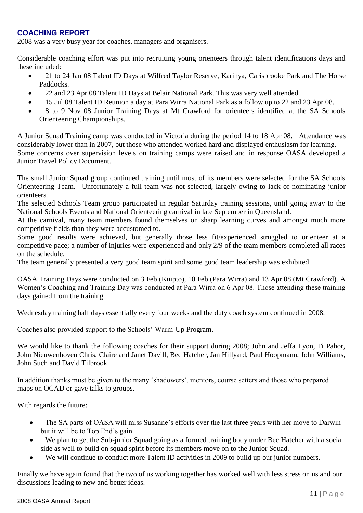## **COACHING REPORT**

2008 was a very busy year for coaches, managers and organisers.

Considerable coaching effort was put into recruiting young orienteers through talent identifications days and these included:

- 21 to 24 Jan 08 Talent ID Days at Wilfred Taylor Reserve, Karinya, Carisbrooke Park and The Horse Paddocks.
- 22 and 23 Apr 08 Talent ID Days at Belair National Park. This was very well attended.
- 15 Jul 08 Talent ID Reunion a day at Para Wirra National Park as a follow up to 22 and 23 Apr 08.
- 8 to 9 Nov 08 Junior Training Days at Mt Crawford for orienteers identified at the SA Schools Orienteering Championships.

A Junior Squad Training camp was conducted in Victoria during the period 14 to 18 Apr 08. Attendance was considerably lower than in 2007, but those who attended worked hard and displayed enthusiasm for learning. Some concerns over supervision levels on training camps were raised and in response OASA developed a Junior Travel Policy Document.

The small Junior Squad group continued training until most of its members were selected for the SA Schools Orienteering Team. Unfortunately a full team was not selected, largely owing to lack of nominating junior orienteers.

The selected Schools Team group participated in regular Saturday training sessions, until going away to the National Schools Events and National Orienteering carnival in late September in Queensland.

At the carnival, many team members found themselves on sharp learning curves and amongst much more competitive fields than they were accustomed to.

Some good results were achieved, but generally those less fit/experienced struggled to orienteer at a competitive pace; a number of injuries were experienced and only 2/9 of the team members completed all races on the schedule.

The team generally presented a very good team spirit and some good team leadership was exhibited.

OASA Training Days were conducted on 3 Feb (Kuipto), 10 Feb (Para Wirra) and 13 Apr 08 (Mt Crawford). A Women"s Coaching and Training Day was conducted at Para Wirra on 6 Apr 08. Those attending these training days gained from the training.

Wednesday training half days essentially every four weeks and the duty coach system continued in 2008.

Coaches also provided support to the Schools" Warm-Up Program.

We would like to thank the following coaches for their support during 2008; John and Jeffa Lyon, Fi Pahor, John Nieuwenhoven Chris, Claire and Janet Davill, Bec Hatcher, Jan Hillyard, Paul Hoopmann, John Williams, John Such and David Tilbrook

In addition thanks must be given to the many 'shadowers', mentors, course setters and those who prepared maps on OCAD or gave talks to groups.

With regards the future:

- The SA parts of OASA will miss Susanne's efforts over the last three years with her move to Darwin but it will be to Top End"s gain.
- We plan to get the Sub-junior Squad going as a formed training body under Bec Hatcher with a social side as well to build on squad spirit before its members move on to the Junior Squad.
- We will continue to conduct more Talent ID activities in 2009 to build up our junior numbers.

Finally we have again found that the two of us working together has worked well with less stress on us and our discussions leading to new and better ideas.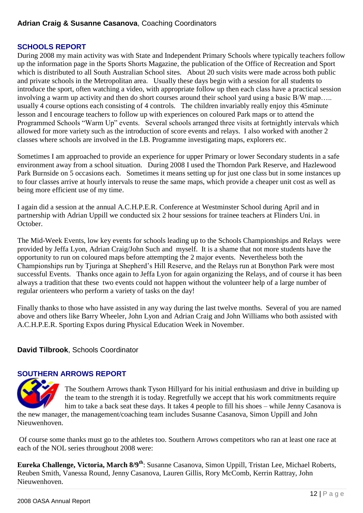## **SCHOOLS REPORT**

During 2008 my main activity was with State and Independent Primary Schools where typically teachers follow up the information page in the Sports Shorts Magazine, the publication of the Office of Recreation and Sport which is distributed to all South Australian School sites. About 20 such visits were made across both public and private schools in the Metropolitan area. Usually these days begin with a session for all students to introduce the sport, often watching a video, with appropriate follow up then each class have a practical session involving a warm up activity and then do short courses around their school yard using a basic B/W map….. usually 4 course options each consisting of 4 controls. The children invariably really enjoy this 45minute lesson and I encourage teachers to follow up with experiences on coloured Park maps or to attend the Programmed Schools "Warm Up" events. Several schools arranged three visits at fortnightly intervals which allowed for more variety such as the introduction of score events and relays. I also worked with another 2 classes where schools are involved in the I.B. Programme investigating maps, explorers etc.

Sometimes I am approached to provide an experience for upper Primary or lower Secondary students in a safe environment away from a school situation. During 2008 I used the Thorndon Park Reserve, and Hazlewood Park Burnside on 5 occasions each. Sometimes it means setting up for just one class but in some instances up to four classes arrive at hourly intervals to reuse the same maps, which provide a cheaper unit cost as well as being more efficient use of my time.

I again did a session at the annual A.C.H.P.E.R. Conference at Westminster School during April and in partnership with Adrian Uppill we conducted six 2 hour sessions for trainee teachers at Flinders Uni. in October.

The Mid-Week Events, low key events for schools leading up to the Schools Championships and Relays were provided by Jeffa Lyon, Adrian Craig/John Such and myself. It is a shame that not more students have the opportunity to run on coloured maps before attempting the 2 major events. Nevertheless both the Championships run by Tjuringa at Shepherd"s Hill Reserve, and the Relays run at Bonython Park were most successful Events. Thanks once again to Jeffa Lyon for again organizing the Relays, and of course it has been always a tradition that these two events could not happen without the volunteer help of a large number of regular orienteers who perform a variety of tasks on the day!

Finally thanks to those who have assisted in any way during the last twelve months. Several of you are named above and others like Barry Wheeler, John Lyon and Adrian Craig and John Williams who both assisted with A.C.H.P.E.R. Sporting Expos during Physical Education Week in November.

## **David Tilbrook**, Schools Coordinator

### **SOUTHERN ARROWS REPORT**



The Southern Arrows thank Tyson Hillyard for his initial enthusiasm and drive in building up the team to the strength it is today. Regretfully we accept that his work commitments require him to take a back seat these days. It takes 4 people to fill his shoes – while Jenny Casanova is

the new manager, the management/coaching team includes Susanne Casanova, Simon Uppill and John Nieuwenhoven.

Of course some thanks must go to the athletes too. Southern Arrows competitors who ran at least one race at each of the NOL series throughout 2008 were:

**Eureka Challenge, Victoria, March 8/9th**: Susanne Casanova, Simon Uppill, Tristan Lee, Michael Roberts, Reuben Smith, Vanessa Round, Jenny Casanova, Lauren Gillis, Rory McComb, Kerrin Rattray, John Nieuwenhoven.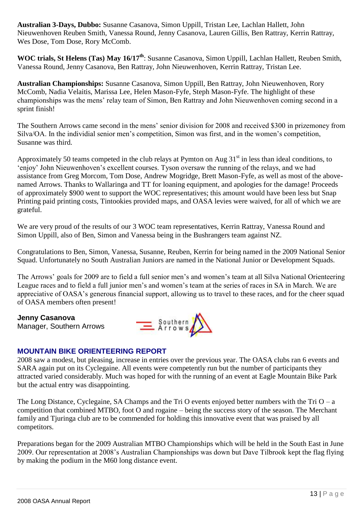**Australian 3-Days, Dubbo:** Susanne Casanova, Simon Uppill, Tristan Lee, Lachlan Hallett, John Nieuwenhoven Reuben Smith, Vanessa Round, Jenny Casanova, Lauren Gillis, Ben Rattray, Kerrin Rattray, Wes Dose, Tom Dose, Rory McComb.

**WOC trials, St Helens (Tas) May 16/17th**: Susanne Casanova, Simon Uppill, Lachlan Hallett, Reuben Smith, Vanessa Round, Jenny Casanova, Ben Rattray, John Nieuwenhoven, Kerrin Rattray, Tristan Lee.

**Australian Championships:** Susanne Casanova, Simon Uppill, Ben Rattray, John Nieuwenhoven, Rory McComb, Nadia Velaitis, Marissa Lee, Helen Mason-Fyfe, Steph Mason-Fyfe. The highlight of these championships was the mens" relay team of Simon, Ben Rattray and John Nieuwenhoven coming second in a sprint finish!

The Southern Arrows came second in the mens" senior division for 2008 and received \$300 in prizemoney from Silva/OA. In the individial senior men's competition, Simon was first, and in the women's competition, Susanne was third.

Approximately 50 teams competed in the club relays at Pymton on Aug  $31<sup>st</sup>$  in less than ideal conditions, to "enjoy" John Nieuwenhoven"s excellent courses. Tyson oversaw the running of the relays, and we had assistance from Greg Morcom, Tom Dose, Andrew Mogridge, Brett Mason-Fyfe, as well as most of the abovenamed Arrows. Thanks to Wallaringa and TT for loaning equipment, and apologies for the damage! Proceeds of approximately \$900 went to support the WOC representatives; this amount would have been less but Snap Printing paid printing costs, Tintookies provided maps, and OASA levies were waived, for all of which we are grateful.

We are very proud of the results of our 3 WOC team representatives, Kerrin Rattray, Vanessa Round and Simon Uppill, also of Ben, Simon and Vanessa being in the Bushrangers team against NZ.

Congratulations to Ben, Simon, Vanessa, Susanne, Reuben, Kerrin for being named in the 2009 National Senior Squad. Unfortunately no South Australian Juniors are named in the National Junior or Development Squads.

The Arrows' goals for 2009 are to field a full senior men's and women's team at all Silva National Orienteering League races and to field a full junior men's and women's team at the series of races in SA in March. We are appreciative of OASA"s generous financial support, allowing us to travel to these races, and for the cheer squad of OASA members often present!

**Jenny Casanova** Manager, Southern Arrows



## **MOUNTAIN BIKE ORIENTEERING REPORT**

2008 saw a modest, but pleasing, increase in entries over the previous year. The OASA clubs ran 6 events and SARA again put on its Cyclegaine. All events were competently run but the number of participants they attracted varied considerably. Much was hoped for with the running of an event at Eagle Mountain Bike Park but the actual entry was disappointing.

The Long Distance, Cyclegaine, SA Champs and the Tri O events enjoyed better numbers with the Tri  $O - a$ competition that combined MTBO, foot O and rogaine – being the success story of the season. The Merchant family and Tjuringa club are to be commended for holding this innovative event that was praised by all competitors.

Preparations began for the 2009 Australian MTBO Championships which will be held in the South East in June 2009. Our representation at 2008"s Australian Championships was down but Dave Tilbrook kept the flag flying by making the podium in the M60 long distance event.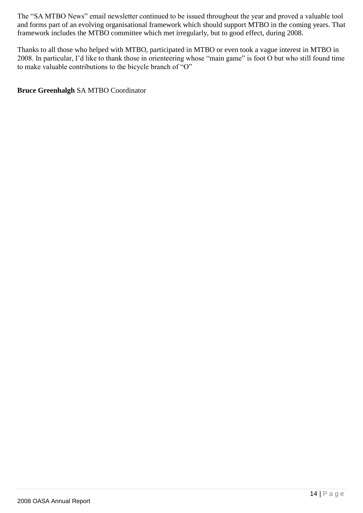The "SA MTBO News" email newsletter continued to be issued throughout the year and proved a valuable tool and forms part of an evolving organisational framework which should support MTBO in the coming years. That framework includes the MTBO committee which met irregularly, but to good effect, during 2008.

Thanks to all those who helped with MTBO, participated in MTBO or even took a vague interest in MTBO in 2008. In particular, I"d like to thank those in orienteering whose "main game" is foot O but who still found time to make valuable contributions to the bicycle branch of "O"

**Bruce Greenhalgh** SA MTBO Coordinator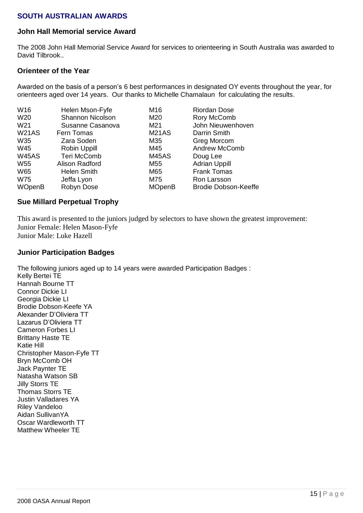### **SOUTH AUSTRALIAN AWARDS**

#### **John Hall Memorial service Award**

The 2008 John Hall Memorial Service Award for services to orienteering in South Australia was awarded to David Tilbrook.

#### **Orienteer of the Year**

Awarded on the basis of a person's 6 best performances in designated OY events throughout the year, for orienteers aged over 14 years. Our thanks to Michelle Chamalaun for calculating the results.

| W16             | Helen Mson-Fyfe         | M16           | <b>Riordan Dose</b>         |
|-----------------|-------------------------|---------------|-----------------------------|
| W20             | <b>Shannon Nicolson</b> | M20           | Rory McComb                 |
| W <sub>21</sub> | Susanne Casanova        | M21           | John Nieuwenhoven           |
| W21AS           | Fern Tomas              | M21AS         | Darrin Smith                |
| W35             | Zara Soden              | M35           | Greg Morcom                 |
| W45             | Robin Uppill            | M45           | <b>Andrew McComb</b>        |
| <b>W45AS</b>    | Teri McComb             | <b>M45AS</b>  | Doug Lee                    |
| W <sub>55</sub> | Alison Radford          | M55           | <b>Adrian Uppill</b>        |
| W65             | <b>Helen Smith</b>      | M65           | <b>Frank Tomas</b>          |
| <b>W75</b>      | Jeffa Lyon              | M75           | Ron Larsson                 |
| <b>WOpenB</b>   | Robyn Dose              | <b>MOpenB</b> | <b>Brodie Dobson-Keeffe</b> |

#### **Sue Millard Perpetual Trophy**

This award is presented to the juniors judged by selectors to have shown the greatest improvement: Junior Female: Helen Mason-Fyfe Junior Male: Luke Hazell

#### **Junior Participation Badges**

The following juniors aged up to 14 years were awarded Participation Badges : Kelly Bertei TE Hannah Bourne TT Connor Dickie LI Georgia Dickie LI Brodie Dobson-Keefe YA Alexander D'Oliviera TT Lazarus D'Oliviera TT Cameron Forbes LI Brittany Haste TE Katie Hill Christopher Mason-Fyfe TT Bryn McComb OH Jack Paynter TE Natasha Watson SB Jilly Storrs TE Thomas Storrs TE Justin Valladares YA Riley Vandeloo Aidan SullivanYA

Oscar Wardleworth TT Matthew Wheeler TE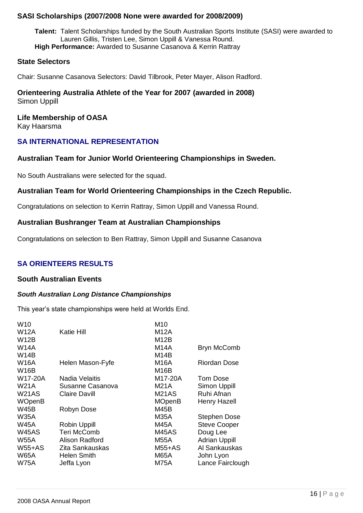#### **SASI Scholarships (2007/2008 None were awarded for 2008/2009)**

**Talent:** Talent Scholarships funded by the South Australian Sports Institute (SASI) were awarded to Lauren Gillis, Tristen Lee, Simon Uppill & Vanessa Round. **High Performance:** Awarded to Susanne Casanova & Kerrin Rattray

#### **State Selectors**

Chair: Susanne Casanova Selectors: David Tilbrook, Peter Mayer, Alison Radford.

**Orienteering Australia Athlete of the Year for 2007 (awarded in 2008)** Simon Uppill

**Life Membership of OASA** Kay Haarsma

### **SA INTERNATIONAL REPRESENTATION**

#### **Australian Team for Junior World Orienteering Championships in Sweden.**

No South Australians were selected for the squad.

#### **Australian Team for World Orienteering Championships in the Czech Republic.**

Congratulations on selection to Kerrin Rattray, Simon Uppill and Vanessa Round.

#### **Australian Bushranger Team at Australian Championships**

Congratulations on selection to Ben Rattray, Simon Uppill and Susanne Casanova

### **SA ORIENTEERS RESULTS**

#### **South Australian Events**

#### *South Australian Long Distance Championships*

This year's state championships were held at Worlds End.

| W <sub>10</sub> |                       | M10           |                      |
|-----------------|-----------------------|---------------|----------------------|
| W12A            | Katie Hill            | M12A          |                      |
| <b>W12B</b>     |                       | M12B          |                      |
| W14A            |                       | M14A          | <b>Bryn McComb</b>   |
| W14B            |                       | M14B          |                      |
| <b>W16A</b>     | Helen Mason-Fyfe      | M16A          | <b>Riordan Dose</b>  |
| W16B            |                       | M16B          |                      |
| W17-20A         | <b>Nadia Velaitis</b> | M17-20A       | Tom Dose             |
| W21A            | Susanne Casanova      | M21A          | <b>Simon Uppill</b>  |
| W21AS           | <b>Claire Davill</b>  | <b>M21AS</b>  | Ruhi Afnan           |
| <b>WOpenB</b>   |                       | <b>MOpenB</b> | <b>Henry Hazell</b>  |
| W45B            | Robyn Dose            | M45B          |                      |
| <b>W35A</b>     |                       | <b>M35A</b>   | <b>Stephen Dose</b>  |
| W45A            | <b>Robin Uppill</b>   | M45A          | <b>Steve Cooper</b>  |
| W45AS           | Teri McComb           | M45AS         | Doug Lee             |
| <b>W55A</b>     | Alison Radford        | <b>M55A</b>   | <b>Adrian Uppill</b> |
| $W55+AS$        | Zita Sankauskas       | M55+AS        | Al Sankauskas        |
| <b>W65A</b>     | <b>Helen Smith</b>    | <b>M65A</b>   | John Lyon            |
| W75A            | Jeffa Lyon            | <b>M75A</b>   | Lance Fairclough     |
|                 |                       |               |                      |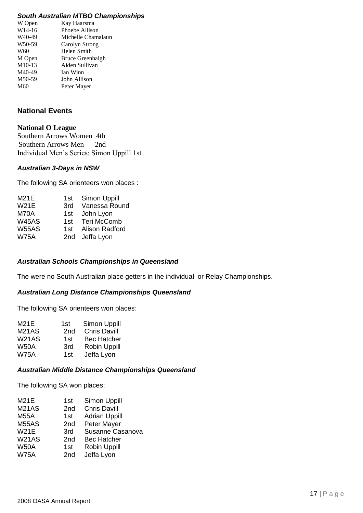#### *South Australian MTBO Championships*

| Kay Haarsma        |
|--------------------|
| Phoebe Allison     |
| Michelle Chamalaun |
| Carolyn Strong     |
| Helen Smith        |
| Bruce Greenhalgh   |
| Aiden Sullivan     |
| Ian Winn           |
| John Allison       |
| Peter Mayer        |
|                    |

## **National Events**

#### **National O League**

Southern Arrows Women 4th Southern Arrows Men 2nd Individual Men"s Series: Simon Uppill 1st

#### *Australian 3-Days in NSW*

The following SA orienteers won places :

| M21E         | 1st l | Simon Uppill       |
|--------------|-------|--------------------|
| <b>W21E</b>  | 3rd   | Vanessa Round      |
| M70A         | 1st   | John Lyon          |
| <b>W45AS</b> | 1st l | <b>Teri McComb</b> |
| <b>W55AS</b> | 1st.  | Alison Radford     |
| <b>W75A</b>  |       | 2nd Jeffa Lyon     |
|              |       |                    |

#### *Australian Schools Championships in Queensland*

The were no South Australian place getters in the individual or Relay Championships.

#### *Australian Long Distance Championships Queensland*

The following SA orienteers won places:

| 1st | <b>Simon Uppill</b> |
|-----|---------------------|
| 2nd | <b>Chris Davill</b> |
| 1st | <b>Bec Hatcher</b>  |
| 3rd | <b>Robin Uppill</b> |
| 1st | Jeffa Lyon          |
|     |                     |

#### *Australian Middle Distance Championships Queensland*

The following SA won places:

| <b>M21E</b>  | 1st             | Simon Uppill         |
|--------------|-----------------|----------------------|
| <b>M21AS</b> | 2 <sub>nd</sub> | <b>Chris Davill</b>  |
| <b>M55A</b>  | 1st             | <b>Adrian Uppill</b> |
| <b>M55AS</b> | 2 <sub>nd</sub> | <b>Peter Mayer</b>   |
| <b>W21E</b>  | 3rd             | Susanne Casanova     |
| <b>W21AS</b> | 2 <sub>nd</sub> | <b>Bec Hatcher</b>   |
| <b>W50A</b>  | 1st             | <b>Robin Uppill</b>  |
| <b>W75A</b>  | 2 <sub>nd</sub> | Jeffa Lyon           |
|              |                 |                      |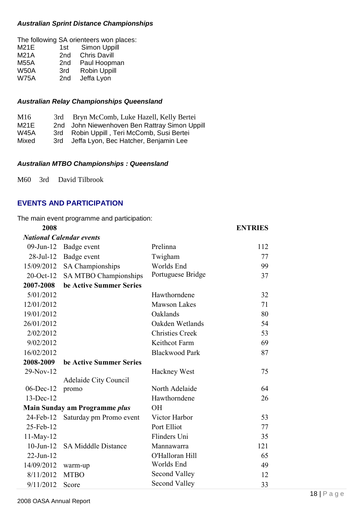#### *Australian Sprint Distance Championships*

|             |                 | The following SA orienteers won places: |
|-------------|-----------------|-----------------------------------------|
| M21E        | 1st l           | Simon Uppill                            |
| <b>M21A</b> | 2nd             | <b>Chris Davill</b>                     |
| <b>M55A</b> | 2 <sub>nd</sub> | Paul Hoopman                            |
| <b>W50A</b> | 3rd             | <b>Robin Uppill</b>                     |
| <b>W75A</b> | 2nd             | Jeffa Lyon                              |
|             |                 |                                         |

#### *Australian Relay Championships Queensland*

| M16   |       | 3rd Bryn McComb, Luke Hazell, Kelly Bertei    |
|-------|-------|-----------------------------------------------|
| M21E  |       | 2nd John Niewenhoven Ben Rattray Simon Uppill |
| W45A  | 3rd - | Robin Uppill, Teri McComb, Susi Bertei        |
| Mixed | 3rd   | Jeffa Lyon, Bec Hatcher, Benjamin Lee         |

#### *Australian MTBO Championships : Queensland*

M60 3rd David Tilbrook

#### **EVENTS AND PARTICIPATION**

#### The main event programme and participation:

| 2008            |                                 |                        | <b>ENTRIES</b> |
|-----------------|---------------------------------|------------------------|----------------|
|                 | <b>National Calendar events</b> |                        |                |
| 09-Jun-12       | Badge event                     | Prelinna               | 112            |
| $28$ -Jul-12    | Badge event                     | Twigham                | 77             |
| 15/09/2012      | SA Championships                | Worlds End             | 99             |
| 20-Oct-12       | SA MTBO Championships           | Portuguese Bridge      | 37             |
| 2007-2008       | be Active Summer Series         |                        |                |
| 5/01/2012       |                                 | Hawthorndene           | 32             |
| 12/01/2012      |                                 | <b>Mawson Lakes</b>    | 71             |
| 19/01/2012      |                                 | Oaklands               | 80             |
| 26/01/2012      |                                 | Oakden Wetlands        | 54             |
| 2/02/2012       |                                 | <b>Christies Creek</b> | 53             |
| 9/02/2012       |                                 | Keithcot Farm          | 69             |
| 16/02/2012      |                                 | <b>Blackwood Park</b>  | 87             |
| 2008-2009       | be Active Summer Series         |                        |                |
| 29-Nov-12       |                                 | <b>Hackney West</b>    | 75             |
|                 | <b>Adelaide City Council</b>    |                        |                |
| $06$ -Dec-12    | promo                           | North Adelaide         | 64             |
| 13-Dec-12       |                                 | Hawthorndene           | 26             |
|                 | Main Sunday am Programme plus   | <b>OH</b>              |                |
| 24-Feb-12       | Saturday pm Promo event         | Victor Harbor          | 53             |
| 25-Feb-12       |                                 | Port Elliot            | 77             |
| 11-May-12       |                                 | Flinders Uni           | 35             |
| $10$ -Jun- $12$ | <b>SA Midddle Distance</b>      | Mannawarra             | 121            |
| $22-Jun-12$     |                                 | O'Halloran Hill        | 65             |
| 14/09/2012      | warm-up                         | Worlds End             | 49             |
| 8/11/2012       | <b>MTBO</b>                     | Second Valley          | 12             |
| 9/11/2012       | Score                           | <b>Second Valley</b>   | 33             |

#### 2008 OASA Annual Report